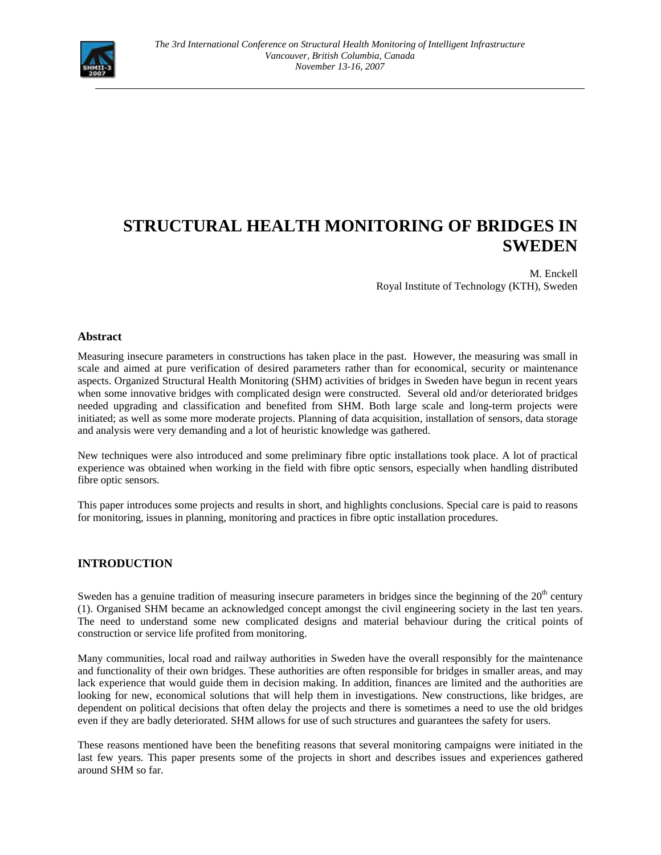

# **STRUCTURAL HEALTH MONITORING OF BRIDGES IN SWEDEN**

M. Enckell Royal Institute of Technology (KTH), Sweden

## **Abstract**

Measuring insecure parameters in constructions has taken place in the past. However, the measuring was small in scale and aimed at pure verification of desired parameters rather than for economical, security or maintenance aspects. Organized Structural Health Monitoring (SHM) activities of bridges in Sweden have begun in recent years when some innovative bridges with complicated design were constructed. Several old and/or deteriorated bridges needed upgrading and classification and benefited from SHM. Both large scale and long-term projects were initiated; as well as some more moderate projects. Planning of data acquisition, installation of sensors, data storage and analysis were very demanding and a lot of heuristic knowledge was gathered.

New techniques were also introduced and some preliminary fibre optic installations took place. A lot of practical experience was obtained when working in the field with fibre optic sensors, especially when handling distributed fibre optic sensors.

This paper introduces some projects and results in short, and highlights conclusions. Special care is paid to reasons for monitoring, issues in planning, monitoring and practices in fibre optic installation procedures.

## **INTRODUCTION**

Sweden has a genuine tradition of measuring insecure parameters in bridges since the beginning of the  $20<sup>th</sup>$  century (1). Organised SHM became an acknowledged concept amongst the civil engineering society in the last ten years. The need to understand some new complicated designs and material behaviour during the critical points of construction or service life profited from monitoring.

Many communities, local road and railway authorities in Sweden have the overall responsibly for the maintenance and functionality of their own bridges. These authorities are often responsible for bridges in smaller areas, and may lack experience that would guide them in decision making. In addition, finances are limited and the authorities are looking for new, economical solutions that will help them in investigations. New constructions, like bridges, are dependent on political decisions that often delay the projects and there is sometimes a need to use the old bridges even if they are badly deteriorated. SHM allows for use of such structures and guarantees the safety for users.

These reasons mentioned have been the benefiting reasons that several monitoring campaigns were initiated in the last few years. This paper presents some of the projects in short and describes issues and experiences gathered around SHM so far.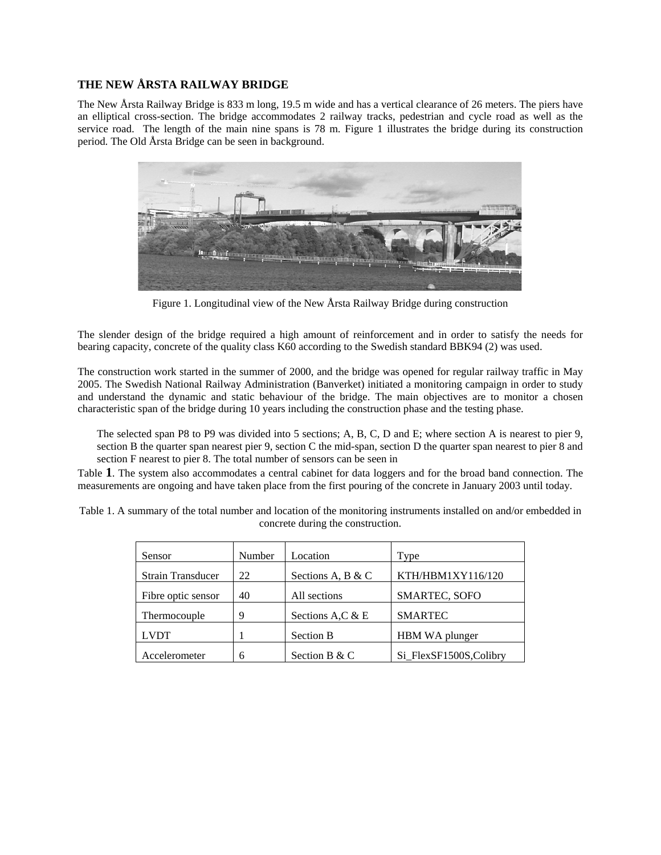## **THE NEW ÅRSTA RAILWAY BRIDGE**

The New Årsta Railway Bridge is 833 m long, 19.5 m wide and has a vertical clearance of 26 meters. The piers have an elliptical cross-section. The bridge accommodates 2 railway tracks, pedestrian and cycle road as well as the service road. The length of the main nine spans is 78 m. Figure 1 illustrates the bridge during its construction period. The Old Årsta Bridge can be seen in background.



Figure 1. Longitudinal view of the New Årsta Railway Bridge during construction

The slender design of the bridge required a high amount of reinforcement and in order to satisfy the needs for bearing capacity, concrete of the quality class K60 according to the Swedish standard BBK94 (2) was used.

The construction work started in the summer of 2000, and the bridge was opened for regular railway traffic in May 2005. The Swedish National Railway Administration (Banverket) initiated a monitoring campaign in order to study and understand the dynamic and static behaviour of the bridge. The main objectives are to monitor a chosen characteristic span of the bridge during 10 years including the construction phase and the testing phase.

The selected span P8 to P9 was divided into 5 sections; A, B, C, D and E; where section A is nearest to pier 9, section B the quarter span nearest pier 9, section C the mid-span, section D the quarter span nearest to pier 8 and section F nearest to pier 8. The total number of sensors can be seen in

Table **1**. The system also accommodates a central cabinet for data loggers and for the broad band connection. The measurements are ongoing and have taken place from the first pouring of the concrete in January 2003 until today.

Table 1. A summary of the total number and location of the monitoring instruments installed on and/or embedded in concrete during the construction.

| Sensor                   | Number | Location          | Type                   |
|--------------------------|--------|-------------------|------------------------|
| <b>Strain Transducer</b> | 22     | Sections A, B & C | KTH/HBM1XY116/120      |
| Fibre optic sensor       | 40     | All sections      | SMARTEC, SOFO          |
| Thermocouple             | 9      | Sections A,C & E  | <b>SMARTEC</b>         |
| <b>LVDT</b>              |        | <b>Section B</b>  | HBM WA plunger         |
| Accelerometer            | 6      | Section B & C     | Si_FlexSF1500S,Colibry |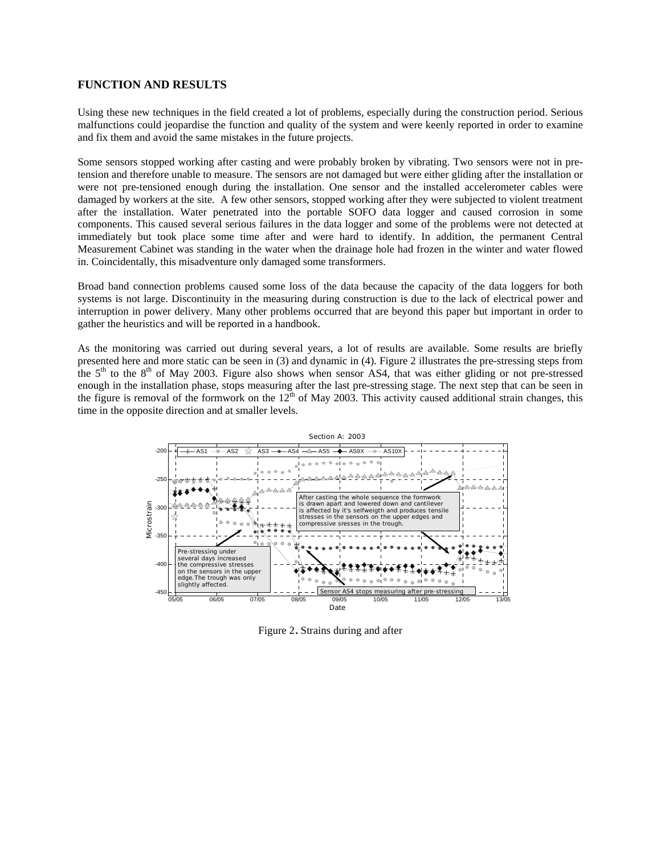#### **FUNCTION AND RESULTS**

Using these new techniques in the field created a lot of problems, especially during the construction period. Serious malfunctions could jeopardise the function and quality of the system and were keenly reported in order to examine and fix them and avoid the same mistakes in the future projects.

Some sensors stopped working after casting and were probably broken by vibrating. Two sensors were not in pretension and therefore unable to measure. The sensors are not damaged but were either gliding after the installation or were not pre-tensioned enough during the installation. One sensor and the installed accelerometer cables were damaged by workers at the site. A few other sensors, stopped working after they were subjected to violent treatment after the installation. Water penetrated into the portable SOFO data logger and caused corrosion in some components. This caused several serious failures in the data logger and some of the problems were not detected at immediately but took place some time after and were hard to identify. In addition, the permanent Central Measurement Cabinet was standing in the water when the drainage hole had frozen in the winter and water flowed in. Coincidentally, this misadventure only damaged some transformers.

Broad band connection problems caused some loss of the data because the capacity of the data loggers for both systems is not large. Discontinuity in the measuring during construction is due to the lack of electrical power and interruption in power delivery. Many other problems occurred that are beyond this paper but important in order to gather the heuristics and will be reported in a handbook.

As the monitoring was carried out during several years, a lot of results are available. Some results are briefly presented here and more static can be seen in (3) and dynamic in (4). Figure 2 illustrates the pre-stressing steps from the  $5<sup>th</sup>$  to the  $8<sup>th</sup>$  of May 2003. Figure also shows when sensor AS4, that was either gliding or not pre-stressed enough in the installation phase, stops measuring after the last pre-stressing stage. The next step that can be seen in the figure is removal of the formwork on the  $12<sup>th</sup>$  of May 2003. This activity caused additional strain changes, this time in the opposite direction and at smaller levels.



Figure 2. Strains during and after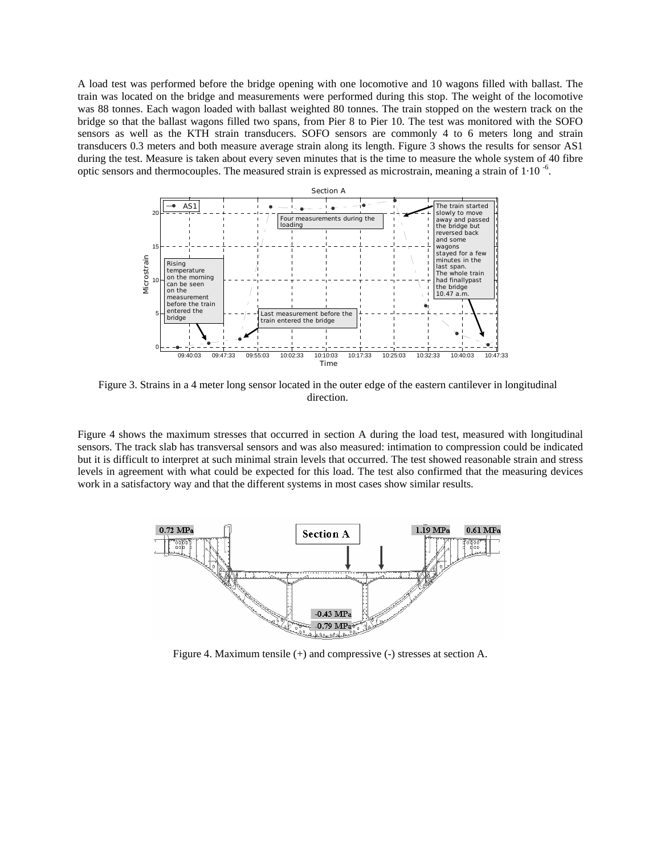A load test was performed before the bridge opening with one locomotive and 10 wagons filled with ballast. The train was located on the bridge and measurements were performed during this stop. The weight of the locomotive was 88 tonnes. Each wagon loaded with ballast weighted 80 tonnes. The train stopped on the western track on the bridge so that the ballast wagons filled two spans, from Pier 8 to Pier 10. The test was monitored with the SOFO sensors as well as the KTH strain transducers. SOFO sensors are commonly 4 to 6 meters long and strain transducers 0.3 meters and both measure average strain along its length. Figure 3 shows the results for sensor AS1 during the test. Measure is taken about every seven minutes that is the time to measure the whole system of 40 fibre optic sensors and thermocouples. The measured strain is expressed as microstrain, meaning a strain of 1·10 -6.



Figure 3. Strains in a 4 meter long sensor located in the outer edge of the eastern cantilever in longitudinal direction.

Figure 4 shows the maximum stresses that occurred in section A during the load test, measured with longitudinal sensors. The track slab has transversal sensors and was also measured: intimation to compression could be indicated but it is difficult to interpret at such minimal strain levels that occurred. The test showed reasonable strain and stress levels in agreement with what could be expected for this load. The test also confirmed that the measuring devices work in a satisfactory way and that the different systems in most cases show similar results.



Figure 4. Maximum tensile (+) and compressive (-) stresses at section A.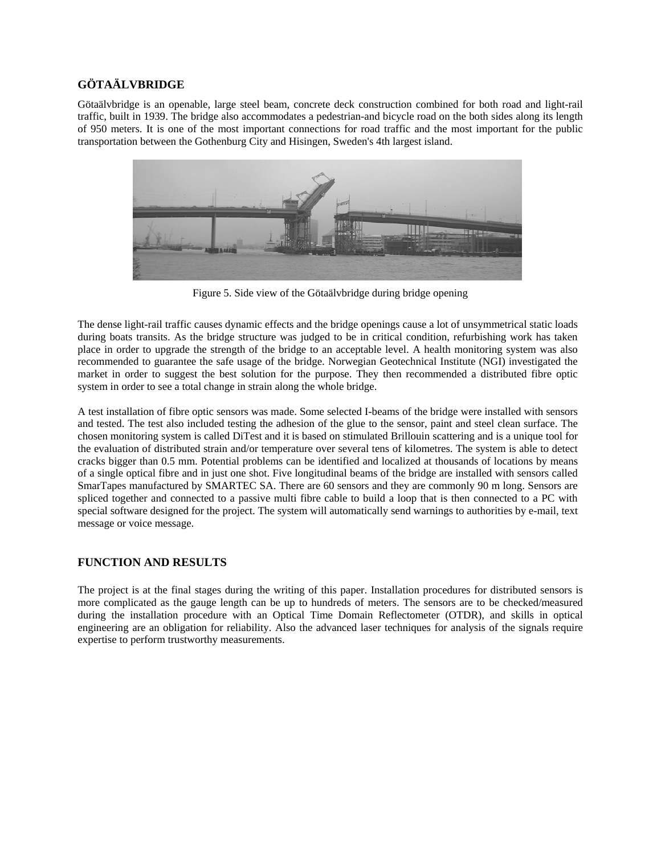## **GÖTAÄLVBRIDGE**

Götaälvbridge is an openable, large steel beam, concrete deck construction combined for both road and light-rail traffic, built in 1939. The bridge also accommodates a pedestrian-and bicycle road on the both sides along its length of 950 meters. It is one of the most important connections for road traffic and the most important for the public transportation between the Gothenburg City and Hisingen, Sweden's 4th largest island.



Figure 5. Side view of the Götaälvbridge during bridge opening

The dense light-rail traffic causes dynamic effects and the bridge openings cause a lot of unsymmetrical static loads during boats transits. As the bridge structure was judged to be in critical condition, refurbishing work has taken place in order to upgrade the strength of the bridge to an acceptable level. A health monitoring system was also recommended to guarantee the safe usage of the bridge. Norwegian Geotechnical Institute (NGI) investigated the market in order to suggest the best solution for the purpose. They then recommended a distributed fibre optic system in order to see a total change in strain along the whole bridge.

A test installation of fibre optic sensors was made. Some selected I-beams of the bridge were installed with sensors and tested. The test also included testing the adhesion of the glue to the sensor, paint and steel clean surface. The chosen monitoring system is called DiTest and it is based on stimulated Brillouin scattering and is a unique tool for the evaluation of distributed strain and/or temperature over several tens of kilometres. The system is able to detect cracks bigger than 0.5 mm. Potential problems can be identified and localized at thousands of locations by means of a single optical fibre and in just one shot. Five longitudinal beams of the bridge are installed with sensors called SmarTapes manufactured by SMARTEC SA. There are 60 sensors and they are commonly 90 m long. Sensors are spliced together and connected to a passive multi fibre cable to build a loop that is then connected to a PC with special software designed for the project. The system will automatically send warnings to authorities by e-mail, text message or voice message.

## **FUNCTION AND RESULTS**

The project is at the final stages during the writing of this paper. Installation procedures for distributed sensors is more complicated as the gauge length can be up to hundreds of meters. The sensors are to be checked/measured during the installation procedure with an Optical Time Domain Reflectometer (OTDR), and skills in optical engineering are an obligation for reliability. Also the advanced laser techniques for analysis of the signals require expertise to perform trustworthy measurements.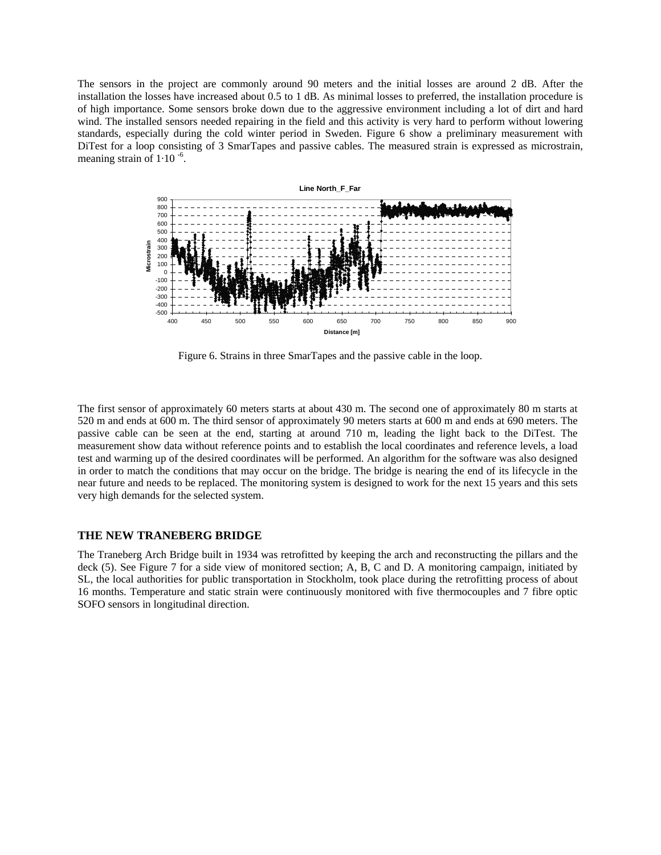The sensors in the project are commonly around 90 meters and the initial losses are around 2 dB. After the installation the losses have increased about 0.5 to 1 dB. As minimal losses to preferred, the installation procedure is of high importance. Some sensors broke down due to the aggressive environment including a lot of dirt and hard wind. The installed sensors needed repairing in the field and this activity is very hard to perform without lowering standards, especially during the cold winter period in Sweden. Figure 6 show a preliminary measurement with DiTest for a loop consisting of 3 SmarTapes and passive cables. The measured strain is expressed as microstrain, meaning strain of  $1.10^{-6}$ .



Figure 6. Strains in three SmarTapes and the passive cable in the loop.

The first sensor of approximately 60 meters starts at about 430 m. The second one of approximately 80 m starts at 520 m and ends at 600 m. The third sensor of approximately 90 meters starts at 600 m and ends at 690 meters. The passive cable can be seen at the end, starting at around 710 m, leading the light back to the DiTest. The measurement show data without reference points and to establish the local coordinates and reference levels, a load test and warming up of the desired coordinates will be performed. An algorithm for the software was also designed in order to match the conditions that may occur on the bridge. The bridge is nearing the end of its lifecycle in the near future and needs to be replaced. The monitoring system is designed to work for the next 15 years and this sets very high demands for the selected system.

#### **THE NEW TRANEBERG BRIDGE**

The Traneberg Arch Bridge built in 1934 was retrofitted by keeping the arch and reconstructing the pillars and the deck (5). See Figure 7 for a side view of monitored section; A, B, C and D. A monitoring campaign, initiated by SL, the local authorities for public transportation in Stockholm, took place during the retrofitting process of about 16 months. Temperature and static strain were continuously monitored with five thermocouples and 7 fibre optic SOFO sensors in longitudinal direction.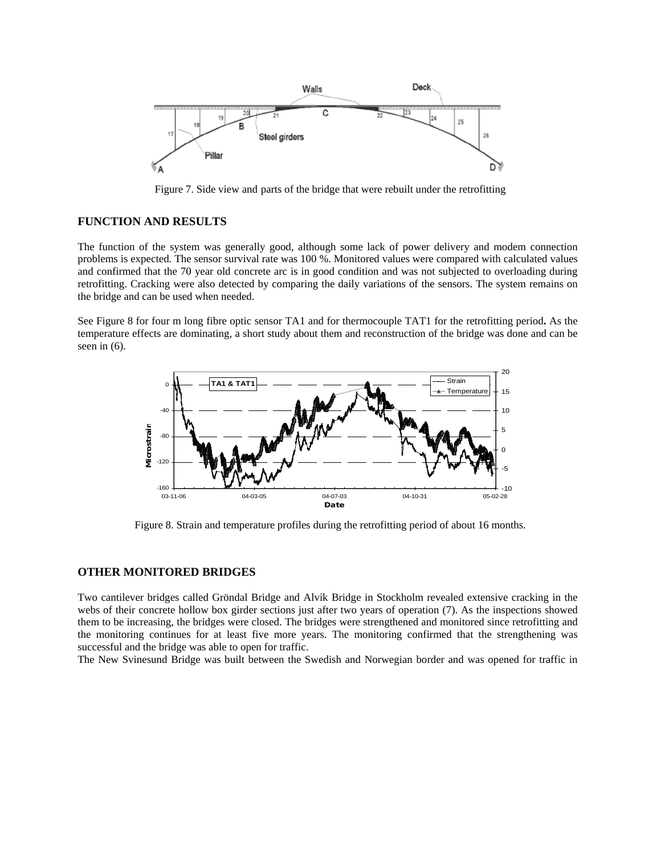

Figure 7. Side view and parts of the bridge that were rebuilt under the retrofitting

## **FUNCTION AND RESULTS**

The function of the system was generally good, although some lack of power delivery and modem connection problems is expected. The sensor survival rate was 100 %. Monitored values were compared with calculated values and confirmed that the 70 year old concrete arc is in good condition and was not subjected to overloading during retrofitting. Cracking were also detected by comparing the daily variations of the sensors. The system remains on the bridge and can be used when needed.

See Figure 8 for four m long fibre optic sensor TA1 and for thermocouple TAT1 for the retrofitting period**.** As the temperature effects are dominating, a short study about them and reconstruction of the bridge was done and can be seen in (6).



Figure 8. Strain and temperature profiles during the retrofitting period of about 16 months.

## **OTHER MONITORED BRIDGES**

Two cantilever bridges called Gröndal Bridge and Alvik Bridge in Stockholm revealed extensive cracking in the webs of their concrete hollow box girder sections just after two years of operation (7). As the inspections showed them to be increasing, the bridges were closed. The bridges were strengthened and monitored since retrofitting and the monitoring continues for at least five more years. The monitoring confirmed that the strengthening was successful and the bridge was able to open for traffic.

The New Svinesund Bridge was built between the Swedish and Norwegian border and was opened for traffic in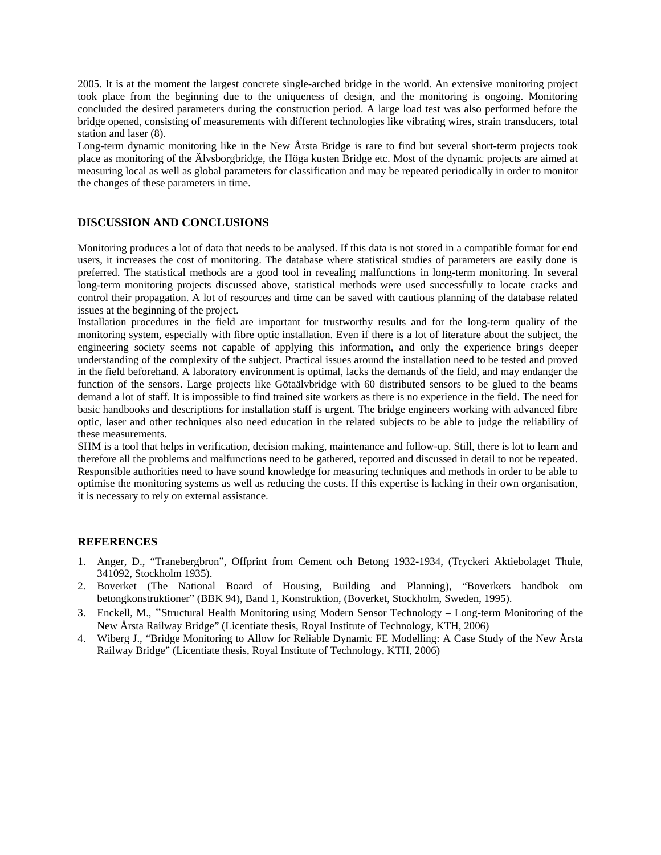2005. It is at the moment the largest concrete single-arched bridge in the world. An extensive monitoring project took place from the beginning due to the uniqueness of design, and the monitoring is ongoing. Monitoring concluded the desired parameters during the construction period. A large load test was also performed before the bridge opened, consisting of measurements with different technologies like vibrating wires, strain transducers, total station and laser (8).

Long-term dynamic monitoring like in the New Årsta Bridge is rare to find but several short-term projects took place as monitoring of the Älvsborgbridge, the Höga kusten Bridge etc. Most of the dynamic projects are aimed at measuring local as well as global parameters for classification and may be repeated periodically in order to monitor the changes of these parameters in time.

## **DISCUSSION AND CONCLUSIONS**

Monitoring produces a lot of data that needs to be analysed. If this data is not stored in a compatible format for end users, it increases the cost of monitoring. The database where statistical studies of parameters are easily done is preferred. The statistical methods are a good tool in revealing malfunctions in long-term monitoring. In several long-term monitoring projects discussed above, statistical methods were used successfully to locate cracks and control their propagation. A lot of resources and time can be saved with cautious planning of the database related issues at the beginning of the project.

Installation procedures in the field are important for trustworthy results and for the long-term quality of the monitoring system, especially with fibre optic installation. Even if there is a lot of literature about the subject, the engineering society seems not capable of applying this information, and only the experience brings deeper understanding of the complexity of the subject. Practical issues around the installation need to be tested and proved in the field beforehand. A laboratory environment is optimal, lacks the demands of the field, and may endanger the function of the sensors. Large projects like Götaälvbridge with 60 distributed sensors to be glued to the beams demand a lot of staff. It is impossible to find trained site workers as there is no experience in the field. The need for basic handbooks and descriptions for installation staff is urgent. The bridge engineers working with advanced fibre optic, laser and other techniques also need education in the related subjects to be able to judge the reliability of these measurements.

SHM is a tool that helps in verification, decision making, maintenance and follow-up. Still, there is lot to learn and therefore all the problems and malfunctions need to be gathered, reported and discussed in detail to not be repeated. Responsible authorities need to have sound knowledge for measuring techniques and methods in order to be able to optimise the monitoring systems as well as reducing the costs. If this expertise is lacking in their own organisation, it is necessary to rely on external assistance.

#### **REFERENCES**

- 1. Anger, D., "Tranebergbron", Offprint from Cement och Betong 1932-1934, (Tryckeri Aktiebolaget Thule, 341092, Stockholm 1935).
- 2. Boverket (The National Board of Housing, Building and Planning), "Boverkets handbok om betongkonstruktioner" (BBK 94), Band 1, Konstruktion, (Boverket, Stockholm, Sweden, 1995).
- 3. Enckell, M., "Structural Health Monitoring using Modern Sensor Technology Long-term Monitoring of the New Årsta Railway Bridge" (Licentiate thesis, Royal Institute of Technology, KTH, 2006)
- 4. Wiberg J., "Bridge Monitoring to Allow for Reliable Dynamic FE Modelling: A Case Study of the New Årsta Railway Bridge" (Licentiate thesis, Royal Institute of Technology, KTH, 2006)